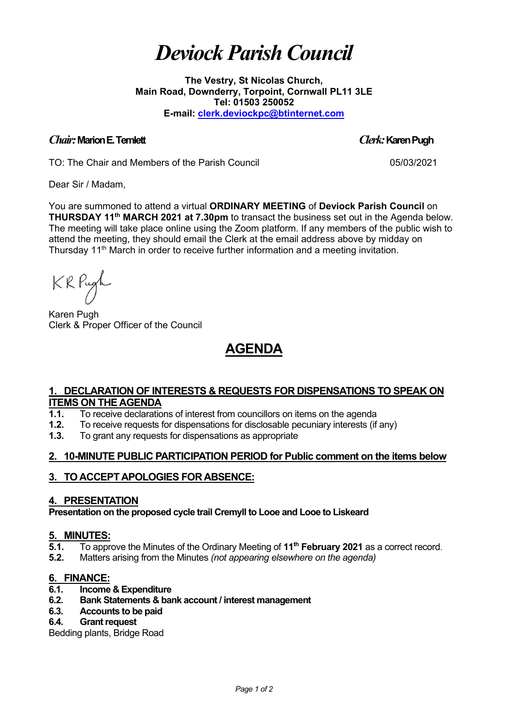# *Deviock Parish Council*

**The Vestry, St Nicolas Church, Main Road, Downderry, Torpoint, Cornwall PL11 3LE Tel: 01503 250052 E-mail: [clerk.deviockpc@btinternet.com](mailto:clerk.deviockpc@btinternet.com)**

### *Chair:* **Marion E. Temlett** *Clerk:* **Karen Pugh**

TO: The Chair and Members of the Parish Council 05/03/2021

Dear Sir / Madam,

You are summoned to attend a virtual **ORDINARY MEETING** of **Deviock Parish Council** on **THURSDAY 11th MARCH 2021 at 7.30pm** to transact the business set out in the Agenda below. The meeting will take place online using the Zoom platform. If any members of the public wish to attend the meeting, they should email the Clerk at the email address above by midday on Thursday 11<sup>th</sup> March in order to receive further information and a meeting invitation.

KRPugh

Karen Pugh Clerk & Proper Officer of the Council

## **AGENDA**

### **1. DECLARATION OF INTERESTS & REQUESTS FOR DISPENSATIONS TO SPEAK ON ITEMS ON THE AGENDA**

- **1.1.** To receive declarations of interest from councillors on items on the agenda<br>**1.2.** To receive requests for dispensations for disclosable pecuniary interests (if
- **1.2.** To receive requests for dispensations for disclosable pecuniary interests (if any)<br>**1.3.** To grant any requests for dispensations as appropriate
- **1.3.** To grant any requests for dispensations as appropriate

## **2. 10-MINUTE PUBLIC PARTICIPATION PERIOD for Public comment on the items below**

## **3. TO ACCEPT APOLOGIES FOR ABSENCE:**

#### **4. PRESENTATION**

**Presentation on the proposed cycle trail Cremyll to Looe and Looe to Liskeard**

## **5. MINUTES:**<br>**5.1.** To appr

- **5.1.** To approve the Minutes of the Ordinary Meeting of **11th February 2021** as a correct record.
- **5.2.** Matters arising from the Minutes *(not appearing elsewhere on the agenda)*

## **6. FINANCE:**

- **6.1. Income & Expenditure**
- **6.2. Bank Statements & bank account / interest management**
- **6.3. Accounts to be paid**

#### **6.4. Grant request**

Bedding plants, Bridge Road